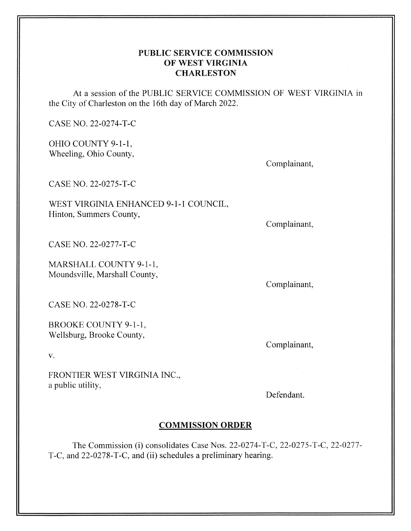# PUBLIC SERVICE COMMISSION OF WEST VIRGINIA **CHARLESTON**

At a session of the PUBLIC SERVICE COMMISSION OF WEST VIRGINIA in the City of Charleston on the 16th day of March 2022.

CASE NO. 22-0274-T-C

OHIO COUNTY 9-1-1, Wheeling, Ohio County,

Complainant,

CASE NO. 22-0275-T-C

WEST VIRGINIA ENHANCED 9-1-1 COUNCIL, Hinton, Summers County,

Complainant,

CASE NO. 22-0277-T-C

MARSHALL COUNTY 9-1-1, Moundsville, Marshall County,

Complainant,

Complainant,

CASE NO. 22-0278-T-C

BROOKE COUNTY 9-1-1, Wellsburg, Brooke County,

V.

FRONTIER WEST VIRGINIA INC., a public utility,

Defendant.

# **COMMISSION ORDER**

The Commission (i) consolidates Case Nos. 22-0274-T-C, 22-0275-T-C, 22-0277- T-C, and 22-0278-T-C, and (ii) schedules a preliminary hearing.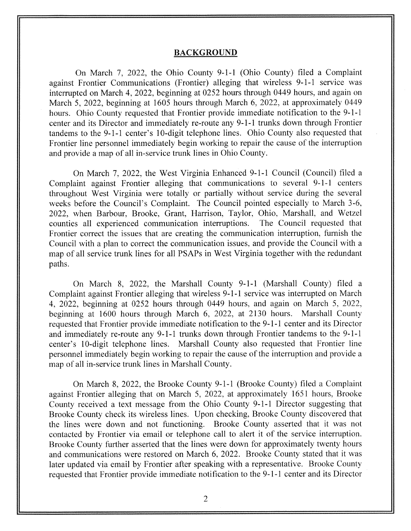#### **BACKGROUND**

On March 7, 2022, the Ohio County 9-1-1 (Ohio County) filed a Complaint against Frontier Communications (Frontier) alleging that wireless 9-1-1 service was interrupted on March 4, 2022, beginning at 0252 hours through 0449 hours, and again on March *5,* 2022, beginning at 1605 hours through March 6, 2022, at approximately 0449 hours. Ohio County requested that Frontier provide immediate notification to the 9-1-1 center and its Director and immediately re-route any 9-1-1 trunks down through Frontier tandems to the 9-1-1 center's 10-digit telephone lines. Ohio County also requested that Frontier line personnel immediately begin working to repair the cause of the interruption and provide a map of all in-service trunk lines in Ohio County.

On March 7, 2022, the West Virginia Enhanced 9-1-1 Council (Council) filed a Complaint against Frontier alleging that communications to several 9-1-1 centers throughout West Virginia were totally or partially without service during the several weeks before the Council's Complaint. The Council pointed especially to March 3-6, 2022, when Barbour, Brooke, Grant, Harrison, Taylor, Ohio, Marshall, and Wetzel counties all experienced communication interruptions. The Council requested that Frontier correct the issues that are creating the communication interruption, furnish the Council with a plan to correct the communication issues, and provide the Council with a map of all service trunk lines for all PSAPs in West Virginia together with the redundant paths.

On March 8, 2022, the Marshall County 9-1-1 (Marshall County) filed a Complaint against Frontier alleging that wireless 9-1-1 service was interrupted on March 4, 2022, beginning at 0252 hours through 0449 hours, and again on March *5,* 2022, beginning at 1600 hours through March 6, 2022, at 2130 hours. Marshall County requested that Frontier provide immediate notification to the 9-1-1 center and its Director and immediately re-route any 9-1-1 trunks down through Frontier tandems to the 9-1-1 center's 10-digit telephone lines. Marshall County also requested that Frontier line personnel immediately begin working to repair the cause of the interruption and provide a map of all in-service trunk lines in Marshall County.

On March 8, 2022, the Brooke County 9-1-1 (Brooke County) filed a Complaint against Frontier alleging that on March *5,* 2022, at approximately 1651 hours, Brooke County received a text message from the Ohio County 9-1-1 Director suggesting that Brooke County check its wireless lines. Upon checking, Brooke County discovered that the lines were down and not functioning. Brooke County asserted that it was not contacted by Frontier via email or telephone call to alert it of the service interruption. Brooke County further asserted that the lines were down for approximately twenty hours and communications were restored on March 6, 2022. Brooke County stated that it was later updated via email by Frontier after speaking with a representative. Brooke County requested that Frontier provide immediate notification to the 9-1-1 center and its Director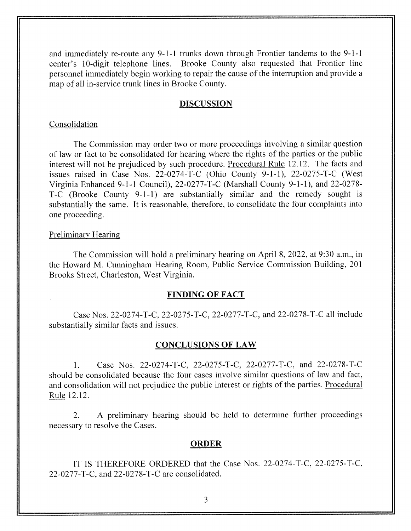and immediately re-route any 9-1-1 trunks down through Frontier tandems to the 9-1-1 center's 10-digit telephone lines. Brooke County also requested that Frontier line personnel immediately begin working to repair the cause of the interruption and provide a map of all in-service trunk lines in Brooke County.

### **DISCUSSION**

### Consolidation

The Commission may order two or more proceedings involving a similar question of law or fact to be consolidated for hearing where the rights of the parties or the public interest will not be prejudiced by such procedure. Procedural Rule 12.12. The facts and issues raised in Case Nos.  $22-0274-T-C$  (Ohio County 9-1-1),  $22-0275-T-C$  (West Virginia Enhanced 9-1-1 Council), 22-0277-T-C (Marshall County 9-1-1), and 22-0278-T-C (Brooke County 9-1-1) are substantially similar and the remedy sought is substantially the same. It is reasonable, therefore, to consolidate the four complaints into one proceeding.

### Preliminary Hearing

The Commission will hold a preliminary hearing on April 8, 2022, at 9:30 a.m., in the Howard M. Cunningham Hearing Room, Public Service Commission Building, 201 Brooks Street, Charleston, West Virginia.

### **FINDING OF FACT**

Case Nos. 22-0274-T-C, 22-0275-T-C, 22-0277-T-C, and 22-0278-T-C all include substantially similar facts and issues.

### **CONCLUSIONS OF LAW**

1. Case Nos. 22-0274-T-C, 22-0275-T-C, 22-0277-T-C, and 22-0278-T-C should be consolidated because the four cases involve similar questions of law and fact, and consolidation will not prejudice the public interest or rights of the parties. Procedural Rule 12.12.

2. A preliminary hearing should be held to determine further proceedings necessary to resolve the Cases.

### **ORDER**

IT IS THEREFORE ORDERED that the Case Nos. 22-0274-T-C, 22-0275-T-C, 22-0277-T-C, and 22-0278-T-C are consolidated.